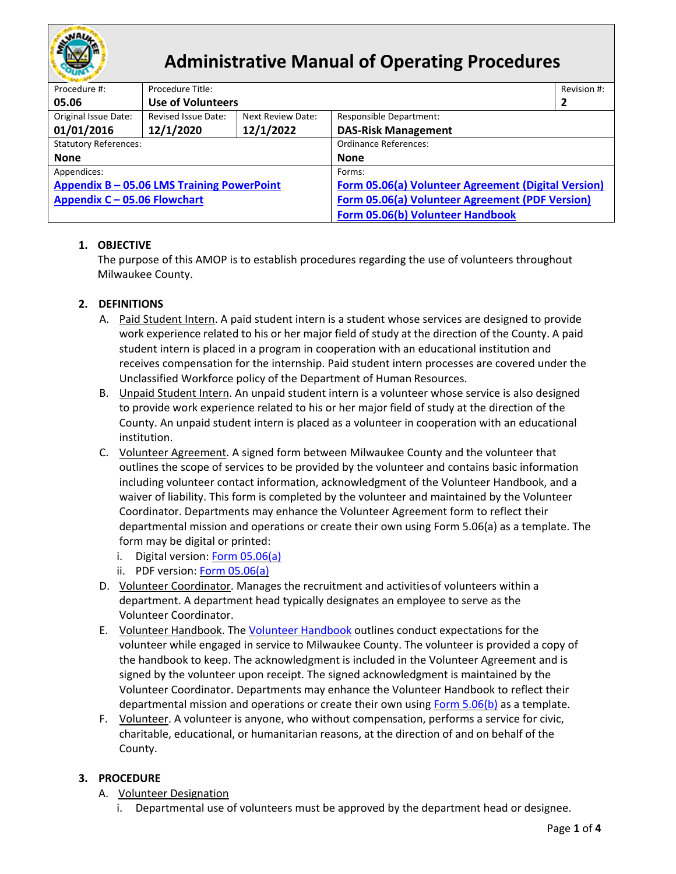

# **Administrative Manual of Operating Procedures**

| Procedure #:                               | Procedure Title:           |                          |                                                     |   |  |
|--------------------------------------------|----------------------------|--------------------------|-----------------------------------------------------|---|--|
| 05.06                                      | <b>Use of Volunteers</b>   |                          |                                                     | 2 |  |
| Original Issue Date:                       | <b>Revised Issue Date:</b> | <b>Next Review Date:</b> | Responsible Department:                             |   |  |
| 01/01/2016                                 | 12/1/2020                  | 12/1/2022                | <b>DAS-Risk Management</b>                          |   |  |
| <b>Statutory References:</b>               |                            |                          | Ordinance References:                               |   |  |
| <b>None</b>                                |                            |                          | <b>None</b>                                         |   |  |
| Appendices:                                |                            |                          | Forms:                                              |   |  |
| Appendix B - 05.06 LMS Training PowerPoint |                            |                          | Form 05.06(a) Volunteer Agreement (Digital Version) |   |  |
| Appendix C - 05.06 Flowchart               |                            |                          | Form 05.06(a) Volunteer Agreement (PDF Version)     |   |  |
|                                            |                            |                          | Form 05.06(b) Volunteer Handbook                    |   |  |

## **1. OBJECTIVE**

The purpose of this AMOP is to establish procedures regarding the use of volunteers throughout Milwaukee County.

## **2. DEFINITIONS**

- A. Paid Student Intern. A paid student intern is a student whose services are designed to provide work experience related to his or her major field of study at the direction of the County. A paid student intern is placed in a program in cooperation with an educational institution and receives compensation for the internship. Paid student intern processes are covered under the Unclassified Workforce policy of the Department of Human Resources.
- B. Unpaid Student Intern. An unpaid student intern is a volunteer whose service is also designed to provide work experience related to his or her major field of study at the direction of the County. An unpaid student intern is placed as a volunteer in cooperation with an educational institution.
- C. Volunteer Agreement. A signed form between Milwaukee County and the volunteer that outlines the scope of services to be provided by the volunteer and contains basic information including volunteer contact information, acknowledgment of the Volunteer Handbook, and a waiver of liability. This form is completed by the volunteer and maintained by the Volunteer Coordinator. Departments may enhance the Volunteer Agreement form to reflect their departmental mission and operations or create their own using Form 5.06(a) as a template. The form may be digital or printed:
	- i. Digital version: [Form 05.06\(a\)](https://www.cognitoforms.com/MilwaukeeCounty2/MilwaukeeCountyVolunteerAgreement)
	- ii. PDF version: [Form 05.06\(a\)](https://county.milwaukee.gov/files/county/administrative-services/AMOP/Chapter-5-Risk-Management/5.06aMilwaukeeCountyVolunteerAgreement.pdf)
- D. Volunteer Coordinator. Manages the recruitment and activitiesof volunteers within a department. A department head typically designates an employee to serve as the Volunteer Coordinator.
- E. Volunteer Handbook. The [Volunteer Handbook](https://county.milwaukee.gov/files/county/administrative-services/AMOP/Chapter-5-Risk-Management/5.06bVolunteerHandbookAcknowledgement.pdf) outlines conduct expectations for the volunteer while engaged in service to Milwaukee County. The volunteer is provided a copy of the handbook to keep. The acknowledgment is included in the Volunteer Agreement and is signed by the volunteer upon receipt. The signed acknowledgment is maintained by the Volunteer Coordinator. Departments may enhance the Volunteer Handbook to reflect their departmental mission and operations or create their own using Form  $5.06(b)$  as a template.
- F. Volunteer. A volunteer is anyone, who without compensation, performs a service for civic, charitable, educational, or humanitarian reasons, at the direction of and on behalf of the County.

## **3. PROCEDURE**

- A. Volunteer Designation
	- i. Departmental use of volunteers must be approved by the department head or designee.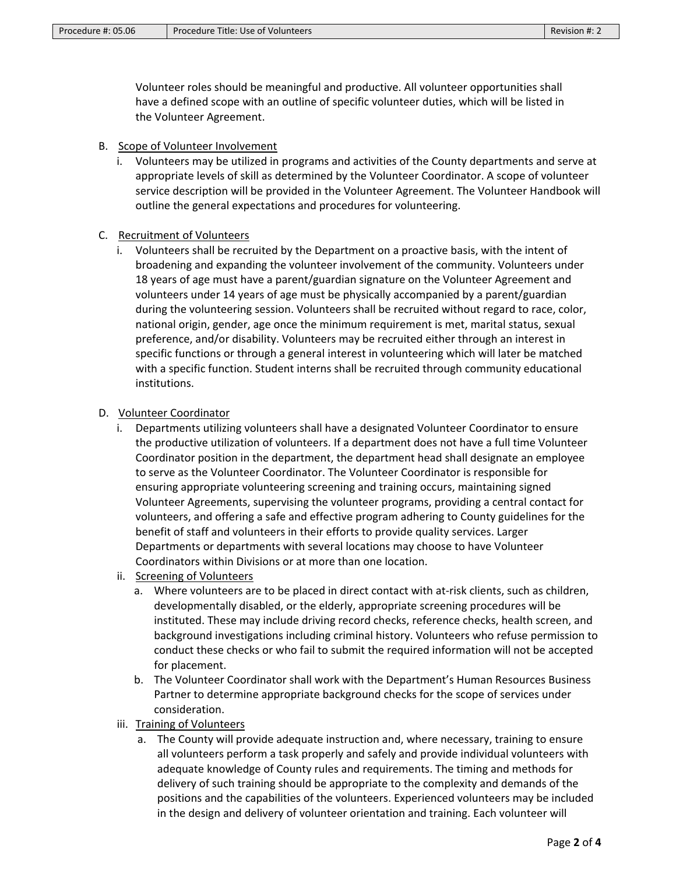Volunteer roles should be meaningful and productive. All volunteer opportunities shall have a defined scope with an outline of specific volunteer duties, which will be listed in the Volunteer Agreement.

- B. Scope of Volunteer Involvement
	- i. Volunteers may be utilized in programs and activities of the County departments and serve at appropriate levels of skill as determined by the Volunteer Coordinator. A scope of volunteer service description will be provided in the Volunteer Agreement. The Volunteer Handbook will outline the general expectations and procedures for volunteering.
- C. Recruitment of Volunteers
	- i. Volunteers shall be recruited by the Department on a proactive basis, with the intent of broadening and expanding the volunteer involvement of the community. Volunteers under 18 years of age must have a parent/guardian signature on the Volunteer Agreement and volunteers under 14 years of age must be physically accompanied by a parent/guardian during the volunteering session. Volunteers shall be recruited without regard to race, color, national origin, gender, age once the minimum requirement is met, marital status, sexual preference, and/or disability. Volunteers may be recruited either through an interest in specific functions or through a general interest in volunteering which will later be matched with a specific function. Student interns shall be recruited through community educational institutions.

### D. Volunteer Coordinator

- i. Departments utilizing volunteers shall have a designated Volunteer Coordinator to ensure the productive utilization of volunteers. If a department does not have a full time Volunteer Coordinator position in the department, the department head shall designate an employee to serve as the Volunteer Coordinator. The Volunteer Coordinator is responsible for ensuring appropriate volunteering screening and training occurs, maintaining signed Volunteer Agreements, supervising the volunteer programs, providing a central contact for volunteers, and offering a safe and effective program adhering to County guidelines for the benefit of staff and volunteers in their efforts to provide quality services. Larger Departments or departments with several locations may choose to have Volunteer Coordinators within Divisions or at more than one location.
- ii. Screening of Volunteers
	- a. Where volunteers are to be placed in direct contact with at-risk clients, such as children, developmentally disabled, or the elderly, appropriate screening procedures will be instituted. These may include driving record checks, reference checks, health screen, and background investigations including criminal history. Volunteers who refuse permission to conduct these checks or who fail to submit the required information will not be accepted for placement.
	- b. The Volunteer Coordinator shall work with the Department's Human Resources Business Partner to determine appropriate background checks for the scope of services under consideration.
- iii. Training of Volunteers
	- a. The County will provide adequate instruction and, where necessary, training to ensure all volunteers perform a task properly and safely and provide individual volunteers with adequate knowledge of County rules and requirements. The timing and methods for delivery of such training should be appropriate to the complexity and demands of the positions and the capabilities of the volunteers. Experienced volunteers may be included in the design and delivery of volunteer orientation and training. Each volunteer will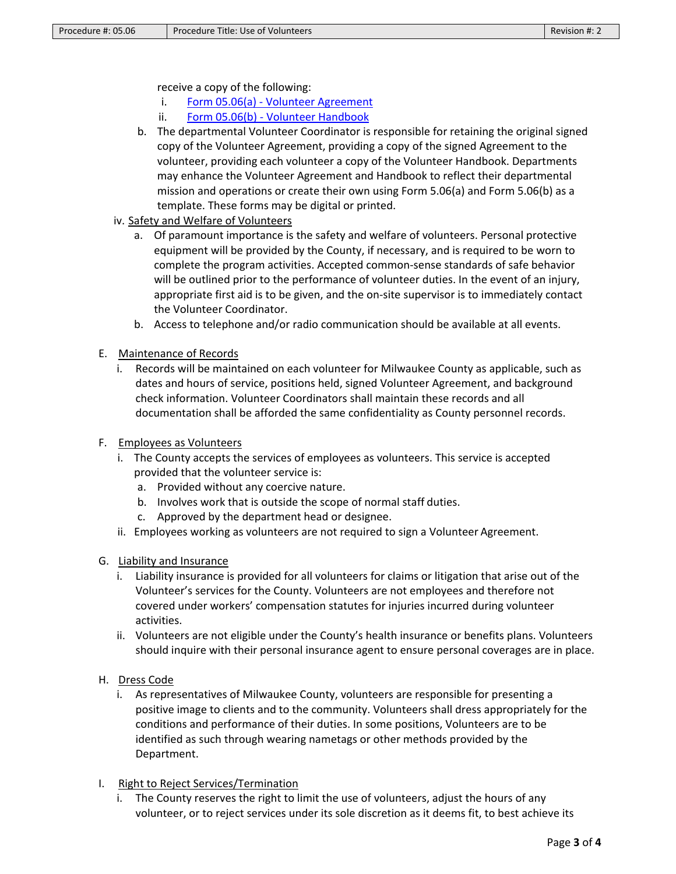receive a copy of the following:

- i. Form 05.06(a) [Volunteer Agreement](https://county.milwaukee.gov/files/county/administrative-services/AMOP/Chapter-5-Risk-Management/5.06aMilwaukeeCountyVolunteerAgreement.pdf)
- ii. Form 05.06(b) [Volunteer Handbook](https://county.milwaukee.gov/files/county/administrative-services/AMOP/Chapter-5-Risk-Management/5.06bVolunteerHandbookAcknowledgement.pdf)
- b. The departmental Volunteer Coordinator is responsible for retaining the original signed copy of the Volunteer Agreement, providing a copy of the signed Agreement to the volunteer, providing each volunteer a copy of the Volunteer Handbook. Departments may enhance the Volunteer Agreement and Handbook to reflect their departmental mission and operations or create their own using Form 5.06(a) and Form 5.06(b) as a template. These forms may be digital or printed.
- iv. Safety and Welfare of Volunteers
	- a. Of paramount importance is the safety and welfare of volunteers. Personal protective equipment will be provided by the County, if necessary, and is required to be worn to complete the program activities. Accepted common-sense standards of safe behavior will be outlined prior to the performance of volunteer duties. In the event of an injury, appropriate first aid is to be given, and the on-site supervisor is to immediately contact the Volunteer Coordinator.
	- b. Access to telephone and/or radio communication should be available at all events.
- E. Maintenance of Records
	- i. Records will be maintained on each volunteer for Milwaukee County as applicable, such as dates and hours of service, positions held, signed Volunteer Agreement, and background check information. Volunteer Coordinators shall maintain these records and all documentation shall be afforded the same confidentiality as County personnel records.
- F. Employees as Volunteers
	- i. The County accepts the services of employees as volunteers. This service is accepted provided that the volunteer service is:
		- a. Provided without any coercive nature.
		- b. Involves work that is outside the scope of normal staff duties.
		- c. Approved by the department head or designee.
	- ii. Employees working as volunteers are not required to sign a Volunteer Agreement.
- G. Liability and Insurance
	- i. Liability insurance is provided for all volunteers for claims or litigation that arise out of the Volunteer's services for the County. Volunteers are not employees and therefore not covered under workers' compensation statutes for injuries incurred during volunteer activities.
	- ii. Volunteers are not eligible under the County's health insurance or benefits plans. Volunteers should inquire with their personal insurance agent to ensure personal coverages are in place.
- H. Dress Code
	- i. As representatives of Milwaukee County, volunteers are responsible for presenting a positive image to clients and to the community. Volunteers shall dress appropriately for the conditions and performance of their duties. In some positions, Volunteers are to be identified as such through wearing nametags or other methods provided by the Department.
- I. Right to Reject Services/Termination
	- i. The County reserves the right to limit the use of volunteers, adjust the hours of any volunteer, or to reject services under its sole discretion as it deems fit, to best achieve its